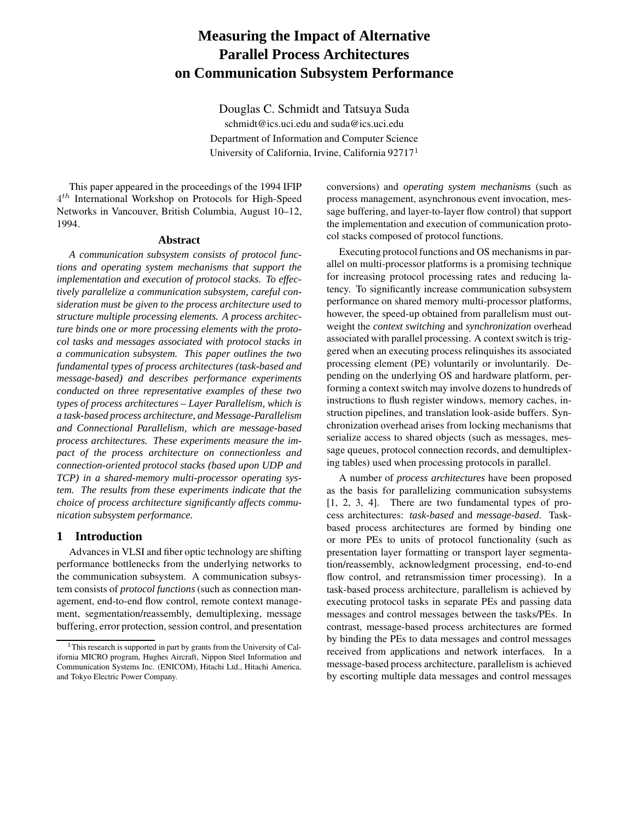# **Measuring the Impact of Alternative Parallel Process Architectures on Communication Subsystem Performance**

Douglas C. Schmidt and Tatsuya Suda schmidt@ics.uci.edu and suda@ics.uci.edu Department of Information and Computer Science University of California, Irvine, California 92717<sup>1</sup>

This paper appeared in the proceedings of the 1994 IFIP 4 th International Workshop on Protocols for High-Speed Networks in Vancouver, British Columbia, August 10–12, 1994.

## **Abstract**

*A communication subsystem consists of protocol functions and operating system mechanisms that support the implementation and execution of protocol stacks. To effectively parallelize a communication subsystem, careful consideration must be given to the process architecture used to structure multiple processing elements. A process architecture binds one or more processing elements with the protocol tasks and messages associated with protocol stacks in a communication subsystem. This paper outlines the two fundamental types of process architectures (task-based and message-based) and describes performance experiments conducted on three representative examples of these two types of process architectures – Layer Parallelism, which is a task-based process architecture, and Message-Parallelism and Connectional Parallelism, which are message-based process architectures. These experiments measure the impact of the process architecture on connectionless and connection-oriented protocol stacks (based upon UDP and TCP) in a shared-memory multi-processor operating system. The results from these experiments indicate that the choice of process architecture significantly affects communication subsystem performance.*

# **1 Introduction**

Advancesin VLSI and fiber optic technology are shifting performance bottlenecks from the underlying networks to the communication subsystem. A communication subsystem consists of *protocol functions* (such as connection management, end-to-end flow control, remote context management, segmentation/reassembly, demultiplexing, message buffering, error protection, session control, and presentation conversions) and *operating system mechanisms* (such as process management, asynchronous event invocation, message buffering, and layer-to-layer flow control) that support the implementation and execution of communication protocol stacks composed of protocol functions.

Executing protocol functions and OS mechanismsin parallel on multi-processor platforms is a promising technique for increasing protocol processing rates and reducing latency. To significantly increase communication subsystem performance on shared memory multi-processor platforms, however, the speed-up obtained from parallelism must outweight the *context switching* and *synchronization* overhead associated with parallel processing. A context switch is triggered when an executing process relinquishes its associated processing element (PE) voluntarily or involuntarily. Depending on the underlying OS and hardware platform, performing a context switch may involve dozens to hundreds of instructions to flush register windows, memory caches, instruction pipelines, and translation look-aside buffers. Synchronization overhead arises from locking mechanisms that serialize access to shared objects (such as messages, message queues, protocol connection records, and demultiplexing tables) used when processing protocols in parallel.

A number of *process architectures* have been proposed as the basis for parallelizing communication subsystems [1, 2, 3, 4]. There are two fundamental types of process architectures: *task-based* and *message-based*. Taskbased process architectures are formed by binding one or more PEs to units of protocol functionality (such as presentation layer formatting or transport layer segmentation/reassembly, acknowledgment processing, end-to-end flow control, and retransmission timer processing). In a task-based process architecture, parallelism is achieved by executing protocol tasks in separate PEs and passing data messages and control messages between the tasks/PEs. In contrast, message-based process architectures are formed by binding the PEs to data messages and control messages received from applications and network interfaces. In a message-based process architecture, parallelism is achieved by escorting multiple data messages and control messages

<sup>&</sup>lt;sup>1</sup>This research is supported in part by grants from the University of California MICRO program, Hughes Aircraft, Nippon Steel Information and Communication Systems Inc. (ENICOM), Hitachi Ltd., Hitachi America, and Tokyo Electric Power Company.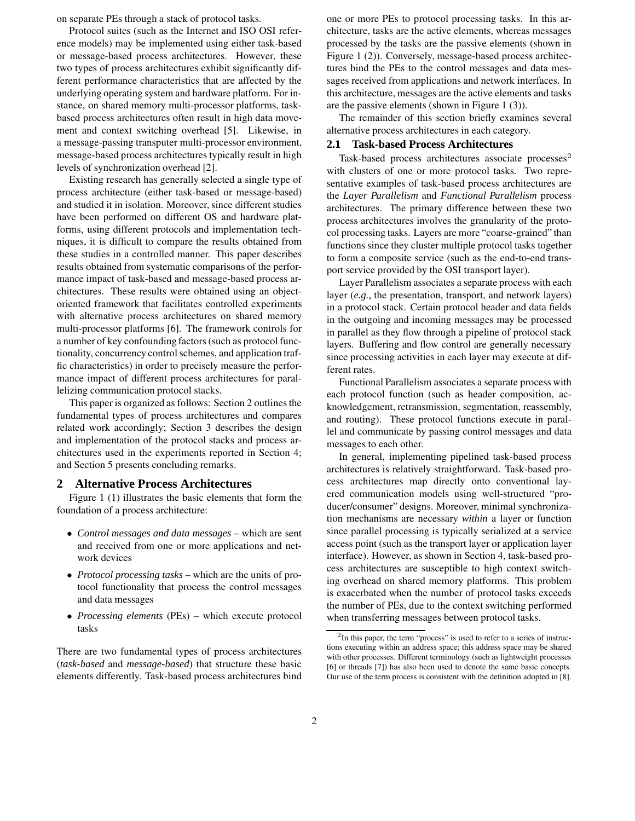on separate PEs through a stack of protocol tasks.

Protocol suites (such as the Internet and ISO OSI reference models) may be implemented using either task-based or message-based process architectures. However, these two types of process architectures exhibit significantly different performance characteristics that are affected by the underlying operating system and hardware platform. For instance, on shared memory multi-processor platforms, taskbased process architectures often result in high data movement and context switching overhead [5]. Likewise, in a message-passing transputer multi-processor environment, message-based process architectures typically result in high levels of synchronization overhead [2].

Existing research has generally selected a single type of process architecture (either task-based or message-based) and studied it in isolation. Moreover, since different studies have been performed on different OS and hardware platforms, using different protocols and implementation techniques, it is difficult to compare the results obtained from these studies in a controlled manner. This paper describes results obtained from systematic comparisons of the performance impact of task-based and message-based process architectures. These results were obtained using an objectoriented framework that facilitates controlled experiments with alternative process architectures on shared memory multi-processor platforms [6]. The framework controls for a number of key confounding factors(such as protocol functionality, concurrency control schemes, and application traffic characteristics) in order to precisely measure the performance impact of different process architectures for parallelizing communication protocol stacks.

This paper is organized as follows: Section 2 outlines the fundamental types of process architectures and compares related work accordingly; Section 3 describes the design and implementation of the protocol stacks and process architectures used in the experiments reported in Section 4; and Section 5 presents concluding remarks.

# **2 Alternative Process Architectures**

Figure 1 (1) illustrates the basic elements that form the foundation of a process architecture:

- *Control messages and data messages* which are sent and received from one or more applications and network devices
- *Protocol processing tasks* which are the units of protocol functionality that process the control messages and data messages
- *Processing elements* (PEs) which execute protocol tasks

There are two fundamental types of process architectures (*task-based* and *message-based*) that structure these basic elements differently. Task-based process architectures bind one or more PEs to protocol processing tasks. In this architecture, tasks are the active elements, whereas messages processed by the tasks are the passive elements (shown in Figure 1 (2)). Conversely, message-based process architectures bind the PEs to the control messages and data messages received from applications and network interfaces. In this architecture, messages are the active elements and tasks are the passive elements (shown in Figure 1 (3)).

The remainder of this section briefly examines several alternative process architectures in each category.

#### **2.1 Task-based Process Architectures**

Task-based process architectures associate processes<sup>2</sup> with clusters of one or more protocol tasks. Two representative examples of task-based process architectures are the *Layer Parallelism* and *Functional Parallelism* process architectures. The primary difference between these two process architectures involves the granularity of the protocol processing tasks. Layers are more "coarse-grained" than functions since they cluster multiple protocol tasks together to form a composite service (such as the end-to-end transport service provided by the OSI transport layer).

Layer Parallelism associates a separate process with each layer (*e.g.,* the presentation, transport, and network layers) in a protocol stack. Certain protocol header and data fields in the outgoing and incoming messages may be processed in parallel as they flow through a pipeline of protocol stack layers. Buffering and flow control are generally necessary since processing activities in each layer may execute at different rates.

Functional Parallelism associates a separate process with each protocol function (such as header composition, acknowledgement, retransmission, segmentation, reassembly, and routing). These protocol functions execute in parallel and communicate by passing control messages and data messages to each other.

In general, implementing pipelined task-based process architectures is relatively straightforward. Task-based process architectures map directly onto conventional layered communication models using well-structured "producer/consumer" designs. Moreover, minimal synchronization mechanisms are necessary *within* a layer or function since parallel processing is typically serialized at a service access point (such as the transport layer or application layer interface). However, as shown in Section 4, task-based process architectures are susceptible to high context switching overhead on shared memory platforms. This problem is exacerbated when the number of protocol tasks exceeds the number of PEs, due to the context switching performed when transferring messages between protocol tasks.

 $2$ In this paper, the term "process" is used to refer to a series of instructions executing within an address space; this address space may be shared with other processes. Different terminology (such as lightweight processes [6] or threads [7]) has also been used to denote the same basic concepts. Our use of the term process is consistent with the definition adopted in [8].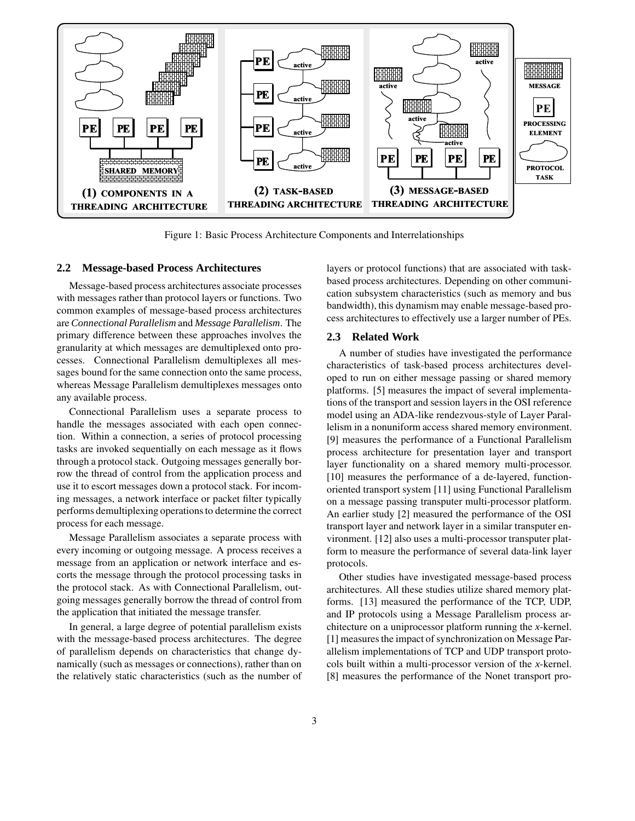

Figure 1: Basic Process Architecture Components and Interrelationships

#### **2.2 Message-based Process Architectures**

Message-based process architectures associate processes with messages rather than protocol layers or functions. Two common examples of message-based process architectures are *Connectional Parallelism* and *Message Parallelism*. The primary difference between these approaches involves the granularity at which messages are demultiplexed onto processes. Connectional Parallelism demultiplexes all messages bound for the same connection onto the same process, whereas Message Parallelism demultiplexes messages onto any available process.

Connectional Parallelism uses a separate process to handle the messages associated with each open connection. Within a connection, a series of protocol processing tasks are invoked sequentially on each message as it flows through a protocol stack. Outgoing messages generally borrow the thread of control from the application process and use it to escort messages down a protocol stack. For incoming messages, a network interface or packet filter typically performs demultiplexing operationsto determine the correct process for each message.

Message Parallelism associates a separate process with every incoming or outgoing message. A process receives a message from an application or network interface and escorts the message through the protocol processing tasks in the protocol stack. As with Connectional Parallelism, outgoing messages generally borrow the thread of control from the application that initiated the message transfer.

In general, a large degree of potential parallelism exists with the message-based process architectures. The degree of parallelism depends on characteristics that change dynamically (such as messages or connections), rather than on the relatively static characteristics (such as the number of layers or protocol functions) that are associated with taskbased process architectures. Depending on other communication subsystem characteristics (such as memory and bus bandwidth), this dynamism may enable message-based process architectures to effectively use a larger number of PEs.

## **2.3 Related Work**

A number of studies have investigated the performance characteristics of task-based process architectures developed to run on either message passing or shared memory platforms. [5] measures the impact of several implementations of the transport and session layers in the OSI reference model using an ADA-like rendezvous-style of Layer Parallelism in a nonuniform access shared memory environment. [9] measures the performance of a Functional Parallelism process architecture for presentation layer and transport layer functionality on a shared memory multi-processor. [10] measures the performance of a de-layered, functionoriented transport system [11] using Functional Parallelism on a message passing transputer multi-processor platform. An earlier study [2] measured the performance of the OSI transport layer and network layer in a similar transputer environment. [12] also uses a multi-processor transputer platform to measure the performance of several data-link layer protocols.

Other studies have investigated message-based process architectures. All these studies utilize shared memory platforms. [13] measured the performance of the TCP, UDP, and IP protocols using a Message Parallelism process architecture on a uniprocessor platform running the *x*-kernel. [1] measures the impact of synchronization on Message Parallelism implementations of TCP and UDP transport protocols built within a multi-processor version of the *x*-kernel. [8] measures the performance of the Nonet transport pro-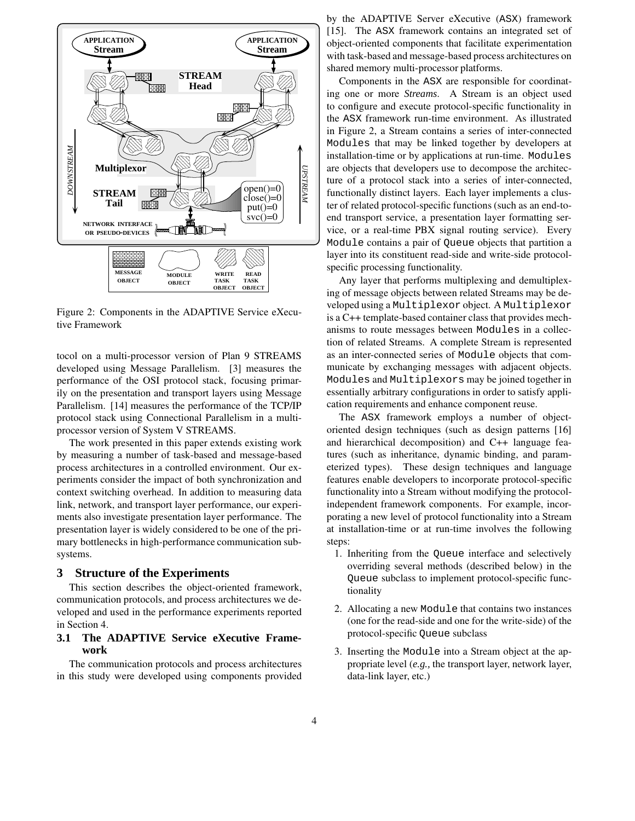

Figure 2: Components in the ADAPTIVE Service eXecutive Framework

tocol on a multi-processor version of Plan 9 STREAMS developed using Message Parallelism. [3] measures the performance of the OSI protocol stack, focusing primarily on the presentation and transport layers using Message Parallelism. [14] measures the performance of the TCP/IP protocol stack using Connectional Parallelism in a multiprocessor version of System V STREAMS.

The work presented in this paper extends existing work by measuring a number of task-based and message-based process architectures in a controlled environment. Our experiments consider the impact of both synchronization and context switching overhead. In addition to measuring data link, network, and transport layer performance, our experiments also investigate presentation layer performance. The presentation layer is widely considered to be one of the primary bottlenecks in high-performance communication subsystems.

#### **3 Structure of the Experiments**

This section describes the object-oriented framework, communication protocols, and process architectures we developed and used in the performance experiments reported in Section 4.

# **3.1 The ADAPTIVE Service eXecutive Framework**

The communication protocols and process architectures in this study were developed using components provided by the ADAPTIVE Server eXecutive (ASX) framework [15]. The ASX framework contains an integrated set of object-oriented components that facilitate experimentation with task-based and message-based process architectures on shared memory multi-processor platforms.

Components in the ASX are responsible for coordinating one or more *Streams*. A Stream is an object used to configure and execute protocol-specific functionality in the ASX framework run-time environment. As illustrated in Figure 2, a Stream contains a series of inter-connected Modules that may be linked together by developers at installation-time or by applications at run-time. Modules are objects that developers use to decompose the architecture of a protocol stack into a series of inter-connected, functionally distinct layers. Each layer implements a cluster of related protocol-specific functions (such as an end-toend transport service, a presentation layer formatting service, or a real-time PBX signal routing service). Every Module contains a pair of Queue objects that partition a layer into its constituent read-side and write-side protocolspecific processing functionality.

Any layer that performs multiplexing and demultiplexing of message objects between related Streams may be developed using a Multiplexor object. A Multiplexor is a C++ template-based container class that provides mechanisms to route messages between Modules in a collection of related Streams. A complete Stream is represented as an inter-connected series of Module objects that communicate by exchanging messages with adjacent objects. Modules and Multiplexors may be joined together in essentially arbitrary configurations in order to satisfy application requirements and enhance component reuse.

The ASX framework employs a number of objectoriented design techniques (such as design patterns [16] and hierarchical decomposition) and C++ language features (such as inheritance, dynamic binding, and parameterized types). These design techniques and language features enable developers to incorporate protocol-specific functionality into a Stream without modifying the protocolindependent framework components. For example, incorporating a new level of protocol functionality into a Stream at installation-time or at run-time involves the following steps:

- 1. Inheriting from the Queue interface and selectively overriding several methods (described below) in the Queue subclass to implement protocol-specific functionality
- 2. Allocating a new Module that contains two instances (one for the read-side and one for the write-side) of the protocol-specific Queue subclass
- 3. Inserting the Module into a Stream object at the appropriate level (*e.g.,* the transport layer, network layer, data-link layer, etc.)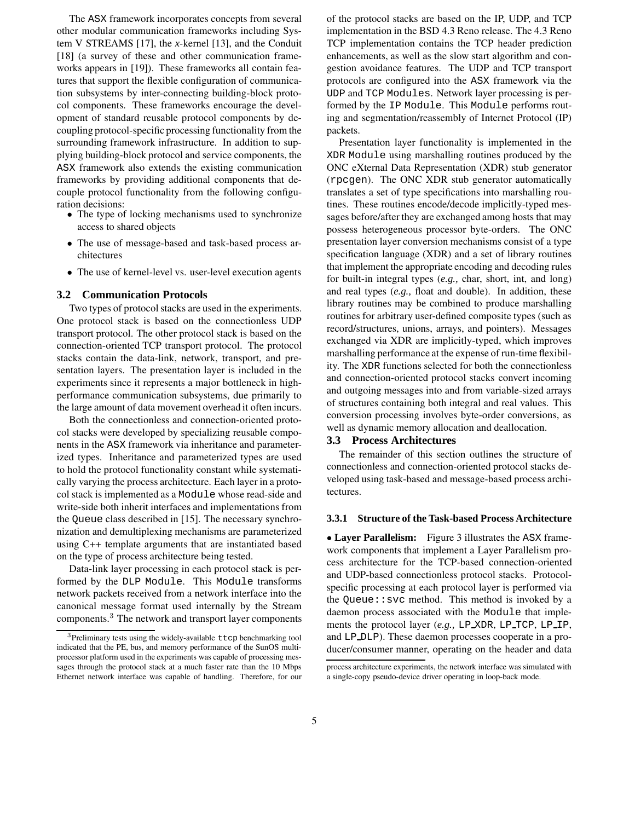The ASX framework incorporates concepts from several other modular communication frameworks including System V STREAMS [17], the *x*-kernel [13], and the Conduit [18] (a survey of these and other communication frameworks appears in [19]). These frameworks all contain features that support the flexible configuration of communication subsystems by inter-connecting building-block protocol components. These frameworks encourage the development of standard reusable protocol components by decoupling protocol-specific processing functionality from the surrounding framework infrastructure. In addition to supplying building-block protocol and service components, the ASX framework also extends the existing communication frameworks by providing additional components that decouple protocol functionality from the following configuration decisions:

- The type of locking mechanisms used to synchronize access to shared objects
- The use of message-based and task-based process architectures
- The use of kernel-level vs. user-level execution agents

#### **3.2 Communication Protocols**

Two types of protocol stacks are used in the experiments. One protocol stack is based on the connectionless UDP transport protocol. The other protocol stack is based on the connection-oriented TCP transport protocol. The protocol stacks contain the data-link, network, transport, and presentation layers. The presentation layer is included in the experiments since it represents a major bottleneck in highperformance communication subsystems, due primarily to the large amount of data movement overhead it often incurs.

Both the connectionless and connection-oriented protocol stacks were developed by specializing reusable components in the ASX framework via inheritance and parameterized types. Inheritance and parameterized types are used to hold the protocol functionality constant while systematically varying the process architecture. Each layer in a protocol stack is implemented as a Module whose read-side and write-side both inherit interfaces and implementations from the Queue class described in [15]. The necessary synchronization and demultiplexing mechanisms are parameterized using C++ template arguments that are instantiated based on the type of process architecture being tested.

Data-link layer processing in each protocol stack is performed by the DLP Module. This Module transforms network packets received from a network interface into the canonical message format used internally by the Stream components.<sup>3</sup> The network and transport layer components of the protocol stacks are based on the IP, UDP, and TCP implementation in the BSD 4.3 Reno release. The 4.3 Reno TCP implementation contains the TCP header prediction enhancements, as well as the slow start algorithm and congestion avoidance features. The UDP and TCP transport protocols are configured into the ASX framework via the UDP and TCP Modules. Network layer processing is performed by the IP Module. This Module performs routing and segmentation/reassembly of Internet Protocol (IP) packets.

Presentation layer functionality is implemented in the XDR Module using marshalling routines produced by the ONC eXternal Data Representation (XDR) stub generator (rpcgen). The ONC XDR stub generator automatically translates a set of type specifications into marshalling routines. These routines encode/decode implicitly-typed messages before/after they are exchanged among hosts that may possess heterogeneous processor byte-orders. The ONC presentation layer conversion mechanisms consist of a type specification language (XDR) and a set of library routines that implement the appropriate encoding and decoding rules for built-in integral types (*e.g.,* char, short, int, and long) and real types (*e.g.,* float and double). In addition, these library routines may be combined to produce marshalling routines for arbitrary user-defined composite types (such as record/structures, unions, arrays, and pointers). Messages exchanged via XDR are implicitly-typed, which improves marshalling performance at the expense of run-time flexibility. The XDR functions selected for both the connectionless and connection-oriented protocol stacks convert incoming and outgoing messages into and from variable-sized arrays of structures containing both integral and real values. This conversion processing involves byte-order conversions, as well as dynamic memory allocation and deallocation.

#### **3.3 Process Architectures**

The remainder of this section outlines the structure of connectionless and connection-oriented protocol stacks developed using task-based and message-based process architectures.

### **3.3.1 Structure of the Task-based Process Architecture**

• **Layer Parallelism:** Figure 3 illustrates the ASX framework components that implement a Layer Parallelism process architecture for the TCP-based connection-oriented and UDP-based connectionless protocol stacks. Protocolspecific processing at each protocol layer is performed via the Queue::svc method. This method is invoked by a daemon process associated with the Module that implements the protocol layer (*e.g.,* LP XDR, LP TCP, LP IP, and LP DLP). These daemon processes cooperate in a producer/consumer manner, operating on the header and data

<sup>&</sup>lt;sup>3</sup>Preliminary tests using the widely-available ttcp benchmarking tool indicated that the PE, bus, and memory performance of the SunOS multiprocessor platform used in the experiments was capable of processing messages through the protocol stack at a much faster rate than the 10 Mbps Ethernet network interface was capable of handling. Therefore, for our

process architecture experiments, the network interface was simulated with a single-copy pseudo-device driver operating in loop-back mode.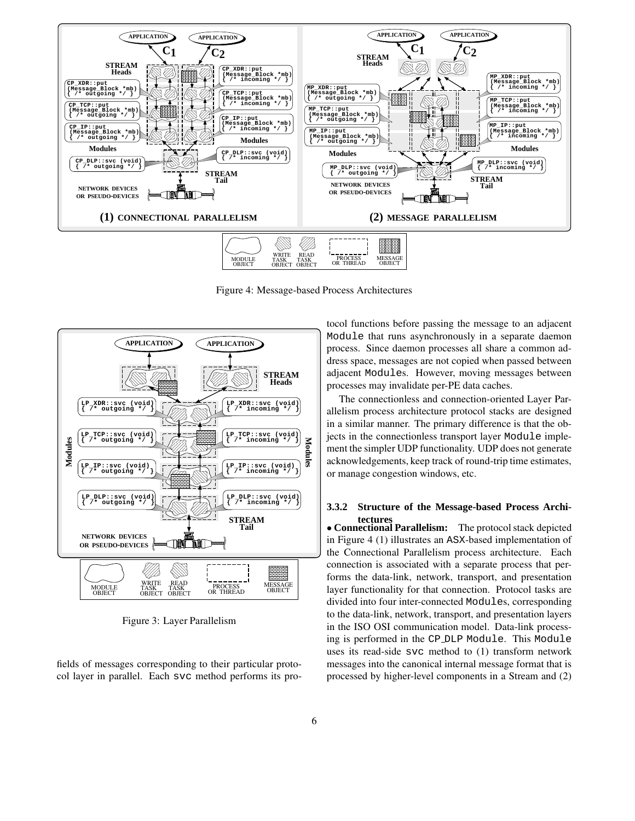

Figure 4: Message-based Process Architectures



Figure 3: Layer Parallelism

fields of messages corresponding to their particular protocol layer in parallel. Each svc method performs its protocol functions before passing the message to an adjacent Module that runs asynchronously in a separate daemon process. Since daemon processes all share a common address space, messages are not copied when passed between adjacent Modules. However, moving messages between processes may invalidate per-PE data caches.

The connectionless and connection-oriented Layer Parallelism process architecture protocol stacks are designed in a similar manner. The primary difference is that the objects in the connectionless transport layer Module implement the simpler UDP functionality. UDP does not generate acknowledgements, keep track of round-trip time estimates, or manage congestion windows, etc.

#### **3.3.2 Structure of the Message-based Process Architectures**

• **Connectional Parallelism:** The protocolstack depicted in Figure 4 (1) illustrates an ASX-based implementation of the Connectional Parallelism process architecture. Each connection is associated with a separate process that performs the data-link, network, transport, and presentation layer functionality for that connection. Protocol tasks are divided into four inter-connected Modules, corresponding to the data-link, network, transport, and presentation layers in the ISO OSI communication model. Data-link processing is performed in the CP DLP Module. This Module uses its read-side svc method to (1) transform network messages into the canonical internal message format that is processed by higher-level components in a Stream and (2)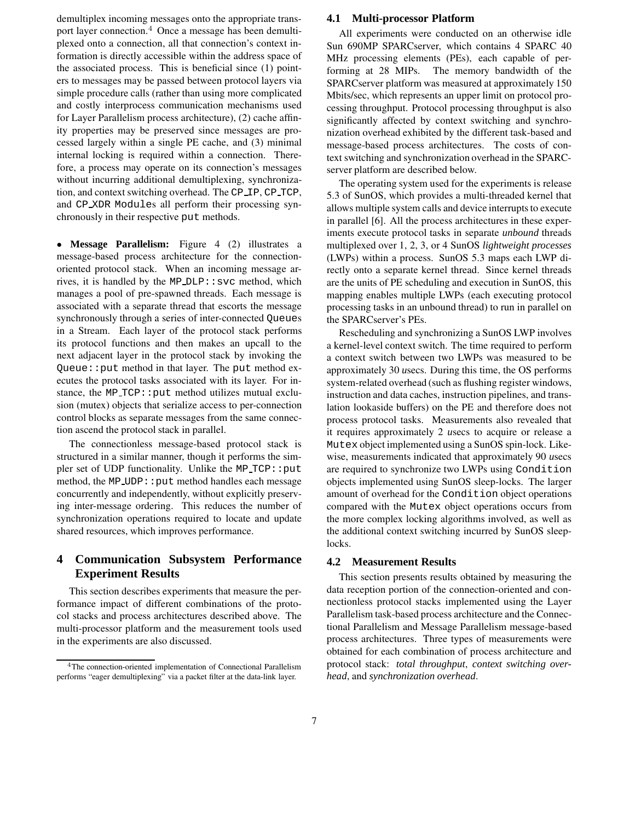demultiplex incoming messages onto the appropriate transport layer connection.<sup>4</sup> Once a message has been demultiplexed onto a connection, all that connection's context information is directly accessible within the address space of the associated process. This is beneficial since (1) pointers to messages may be passed between protocol layers via simple procedure calls (rather than using more complicated and costly interprocess communication mechanisms used for Layer Parallelism process architecture), (2) cache affinity properties may be preserved since messages are processed largely within a single PE cache, and (3) minimal internal locking is required within a connection. Therefore, a process may operate on its connection's messages without incurring additional demultiplexing, synchronization, and context switching overhead. The CP IP, CP TCP, and CP XDR Modules all perform their processing synchronously in their respective put methods.

• **Message Parallelism:** Figure 4 (2) illustrates a message-based process architecture for the connectionoriented protocol stack. When an incoming message arrives, it is handled by the MP  $DLP$ : svc method, which manages a pool of pre-spawned threads. Each message is associated with a separate thread that escorts the message synchronously through a series of inter-connected Queues in a Stream. Each layer of the protocol stack performs its protocol functions and then makes an upcall to the next adjacent layer in the protocol stack by invoking the Queue:: put method in that layer. The put method executes the protocol tasks associated with its layer. For instance, the MP\_TCP:: put method utilizes mutual exclusion (mutex) objects that serialize access to per-connection control blocks as separate messages from the same connection ascend the protocol stack in parallel.

The connectionless message-based protocol stack is structured in a similar manner, though it performs the simpler set of UDP functionality. Unlike the MP  $TCP::put$ method, the MP\_UDP:: put method handles each message concurrently and independently, without explicitly preserving inter-message ordering. This reduces the number of synchronization operations required to locate and update shared resources, which improves performance.

# **4 Communication Subsystem Performance Experiment Results**

This section describes experiments that measure the performance impact of different combinations of the protocol stacks and process architectures described above. The multi-processor platform and the measurement tools used in the experiments are also discussed.

# **4.1 Multi-processor Platform**

All experiments were conducted on an otherwise idle Sun 690MP SPARCserver, which contains 4 SPARC 40 MHz processing elements (PEs), each capable of performing at 28 MIPs. The memory bandwidth of the SPARCserver platform was measured at approximately 150 Mbits/sec, which represents an upper limit on protocol processing throughput. Protocol processing throughput is also significantly affected by context switching and synchronization overhead exhibited by the different task-based and message-based process architectures. The costs of context switching and synchronization overhead in the SPARCserver platform are described below.

The operating system used for the experiments is release 5.3 of SunOS, which provides a multi-threaded kernel that allows multiple system calls and device interrupts to execute in parallel [6]. All the process architectures in these experiments execute protocol tasks in separate *unbound* threads multiplexed over 1, 2, 3, or 4 SunOS *lightweight processes* (LWPs) within a process. SunOS 5.3 maps each LWP directly onto a separate kernel thread. Since kernel threads are the units of PE scheduling and execution in SunOS, this mapping enables multiple LWPs (each executing protocol processing tasks in an unbound thread) to run in parallel on the SPARCserver's PEs.

Rescheduling and synchronizing a SunOS LWP involves a kernel-level context switch. The time required to perform a context switch between two LWPs was measured to be approximately 30 *u*secs. During this time, the OS performs system-related overhead (such as flushing register windows, instruction and data caches, instruction pipelines, and translation lookaside buffers) on the PE and therefore does not process protocol tasks. Measurements also revealed that it requires approximately 2 *u*secs to acquire or release a Mutex object implemented using a SunOS spin-lock. Likewise, measurements indicated that approximately 90 *u*secs are required to synchronize two LWPs using Condition objects implemented using SunOS sleep-locks. The larger amount of overhead for the Condition object operations compared with the Mutex object operations occurs from the more complex locking algorithms involved, as well as the additional context switching incurred by SunOS sleeplocks.

#### **4.2 Measurement Results**

This section presents results obtained by measuring the data reception portion of the connection-oriented and connectionless protocol stacks implemented using the Layer Parallelism task-based process architecture and the Connectional Parallelism and Message Parallelism message-based process architectures. Three types of measurements were obtained for each combination of process architecture and protocol stack: *total throughput*, *context switching overhead*, and *synchronization overhead*.

<sup>4</sup>The connection-oriented implementation of Connectional Parallelism performs "eager demultiplexing" via a packet filter at the data-link layer.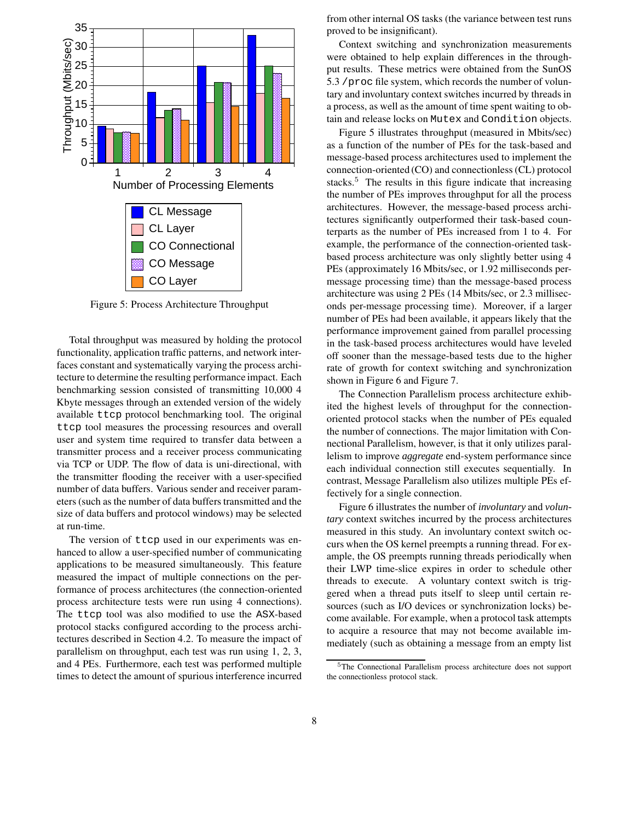

Figure 5: Process Architecture Throughput

Total throughput was measured by holding the protocol functionality, application traffic patterns, and network interfaces constant and systematically varying the process architecture to determine the resulting performance impact. Each benchmarking session consisted of transmitting 10,000 4 Kbyte messages through an extended version of the widely available ttcp protocol benchmarking tool. The original ttcp tool measures the processing resources and overall user and system time required to transfer data between a transmitter process and a receiver process communicating via TCP or UDP. The flow of data is uni-directional, with the transmitter flooding the receiver with a user-specified number of data buffers. Various sender and receiver parameters (such as the number of data buffers transmitted and the size of data buffers and protocol windows) may be selected at run-time.

The version of ttcp used in our experiments was enhanced to allow a user-specified number of communicating applications to be measured simultaneously. This feature measured the impact of multiple connections on the performance of process architectures (the connection-oriented process architecture tests were run using 4 connections). The ttcp tool was also modified to use the ASX-based protocol stacks configured according to the process architectures described in Section 4.2. To measure the impact of parallelism on throughput, each test was run using 1, 2, 3, and 4 PEs. Furthermore, each test was performed multiple times to detect the amount of spurious interference incurred from other internal OS tasks (the variance between test runs proved to be insignificant).

Context switching and synchronization measurements were obtained to help explain differences in the throughput results. These metrics were obtained from the SunOS 5.3 /proc file system, which records the number of voluntary and involuntary context switches incurred by threads in a process, as well as the amount of time spent waiting to obtain and release locks on Mutex and Condition objects.

Figure 5 illustrates throughput (measured in Mbits/sec) as a function of the number of PEs for the task-based and message-based process architectures used to implement the connection-oriented (CO) and connectionless (CL) protocol stacks.<sup>5</sup> The results in this figure indicate that increasing the number of PEs improves throughput for all the process architectures. However, the message-based process architectures significantly outperformed their task-based counterparts as the number of PEs increased from 1 to 4. For example, the performance of the connection-oriented taskbased process architecture was only slightly better using 4 PEs (approximately 16 Mbits/sec, or 1.92 milliseconds permessage processing time) than the message-based process architecture was using 2 PEs (14 Mbits/sec, or 2.3 milliseconds per-message processing time). Moreover, if a larger number of PEs had been available, it appears likely that the performance improvement gained from parallel processing in the task-based process architectures would have leveled off sooner than the message-based tests due to the higher rate of growth for context switching and synchronization shown in Figure 6 and Figure 7.

The Connection Parallelism process architecture exhibited the highest levels of throughput for the connectionoriented protocol stacks when the number of PEs equaled the number of connections. The major limitation with Connectional Parallelism, however, is that it only utilizes parallelism to improve *aggregate* end-system performance since each individual connection still executes sequentially. In contrast, Message Parallelism also utilizes multiple PEs effectively for a single connection.

Figure 6 illustrates the number of *involuntary* and *voluntary* context switches incurred by the process architectures measured in this study. An involuntary context switch occurs when the OS kernel preempts a running thread. For example, the OS preempts running threads periodically when their LWP time-slice expires in order to schedule other threads to execute. A voluntary context switch is triggered when a thread puts itself to sleep until certain resources (such as I/O devices or synchronization locks) become available. For example, when a protocol task attempts to acquire a resource that may not become available immediately (such as obtaining a message from an empty list

<sup>5</sup>The Connectional Parallelism process architecture does not support the connectionless protocol stack.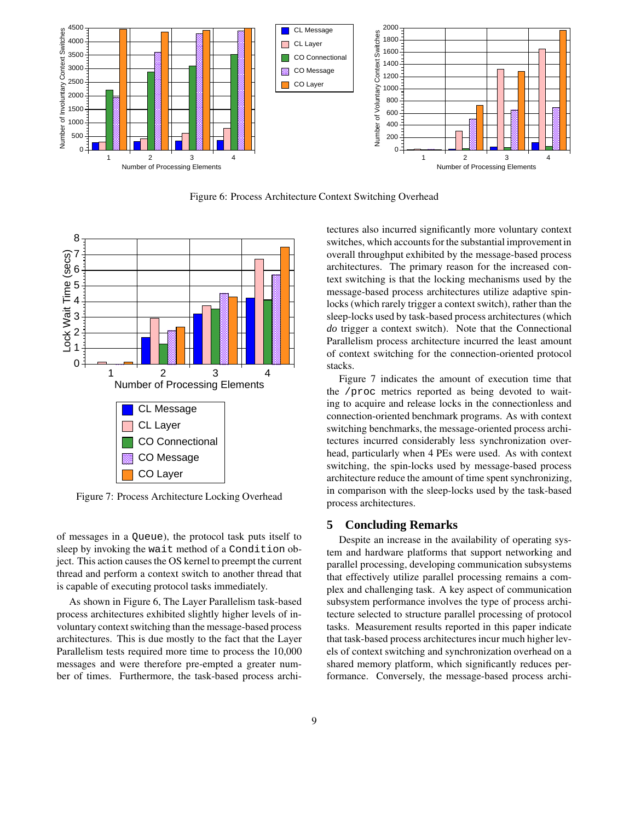

Figure 6: Process Architecture Context Switching Overhead



Figure 7: Process Architecture Locking Overhead

of messages in a Queue), the protocol task puts itself to sleep by invoking the wait method of a Condition object. This action causes the OS kernel to preempt the current thread and perform a context switch to another thread that is capable of executing protocol tasks immediately.

As shown in Figure 6, The Layer Parallelism task-based process architectures exhibited slightly higher levels of involuntary context switching than the message-based process architectures. This is due mostly to the fact that the Layer Parallelism tests required more time to process the 10,000 messages and were therefore pre-empted a greater number of times. Furthermore, the task-based process architectures also incurred significantly more voluntary context switches, which accounts for the substantial improvement in overall throughput exhibited by the message-based process architectures. The primary reason for the increased context switching is that the locking mechanisms used by the message-based process architectures utilize adaptive spinlocks (which rarely trigger a context switch), rather than the sleep-locks used by task-based process architectures (which *do* trigger a context switch). Note that the Connectional Parallelism process architecture incurred the least amount of context switching for the connection-oriented protocol stacks.

Figure 7 indicates the amount of execution time that the /proc metrics reported as being devoted to waiting to acquire and release locks in the connectionless and connection-oriented benchmark programs. As with context switching benchmarks, the message-oriented process architectures incurred considerably less synchronization overhead, particularly when 4 PEs were used. As with context switching, the spin-locks used by message-based process architecture reduce the amount of time spent synchronizing, in comparison with the sleep-locks used by the task-based process architectures.

# **5 Concluding Remarks**

Despite an increase in the availability of operating system and hardware platforms that support networking and parallel processing, developing communication subsystems that effectively utilize parallel processing remains a complex and challenging task. A key aspect of communication subsystem performance involves the type of process architecture selected to structure parallel processing of protocol tasks. Measurement results reported in this paper indicate that task-based process architectures incur much higher levels of context switching and synchronization overhead on a shared memory platform, which significantly reduces performance. Conversely, the message-based process archi-